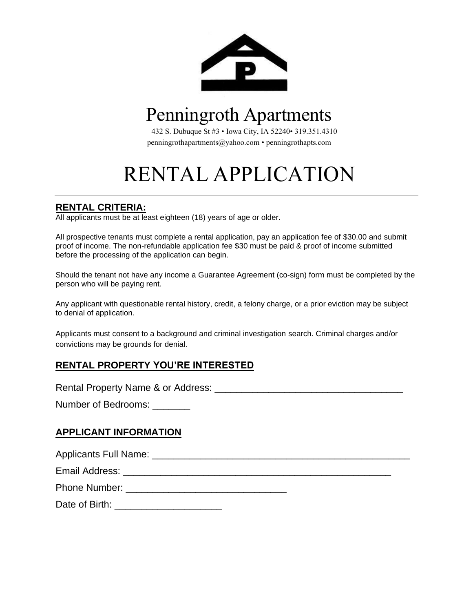

# Penningroth Apartments

432 S. Dubuque St #3 • Iowa City, IA 52240• 319.351.4310 [penningrothapar](mailto:penningrothapartments@yahoo.com)tments@yahoo.com • penningrothapts.com

# RENTAL APPLICATION

## **RENTAL CRITERIA:**

All applicants must be at least eighteen (18) years of age or older.

All prospective tenants must complete a rental application, pay an application fee of \$30.00 and submit proof of income. The non-refundable application fee \$30 must be paid & proof of income submitted before the processing of the application can begin.

Should the tenant not have any income a Guarantee Agreement (co-sign) form must be completed by the person who will be paying rent.

Any applicant with questionable rental history, credit, a felony charge, or a prior eviction may be subject to denial of application.

Applicants must consent to a background and criminal investigation search. Criminal charges and/or convictions may be grounds for denial.

# **RENTAL PROPERTY YOU'RE INTERESTED**

Rental Property Name & or Address: \_\_\_\_\_\_\_\_\_\_\_\_\_\_\_\_\_\_\_\_\_\_\_\_\_\_\_\_\_\_\_\_\_\_\_

Number of Bedrooms:

#### **APPLICANT INFORMATION**

Applicants Full Name: \_\_\_\_\_\_\_\_\_\_\_\_\_\_\_\_\_\_\_\_\_\_\_\_\_\_\_\_\_\_\_\_\_\_\_\_\_\_\_\_\_\_\_\_\_\_\_\_

Email Address: \_\_\_\_\_\_\_\_\_\_\_\_\_\_\_\_\_\_\_\_\_\_\_\_\_\_\_\_\_\_\_\_\_\_\_\_\_\_\_\_\_\_\_\_\_\_\_\_\_\_

Phone Number: \_\_\_\_\_\_\_\_\_\_\_\_\_\_\_\_\_\_\_\_\_\_\_\_\_\_\_\_\_\_

Date of Birth: \_\_\_\_\_\_\_\_\_\_\_\_\_\_\_\_\_\_\_\_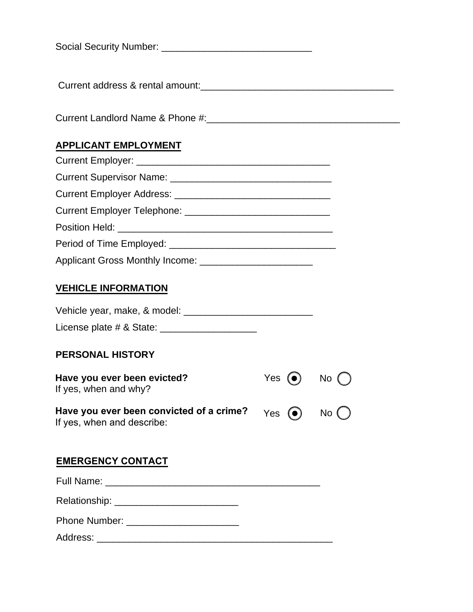| <b>Social Security Number:</b> |
|--------------------------------|
|--------------------------------|

Current address & rental amount:

Current Landlord Name & Phone #:\_\_\_\_\_\_\_\_\_\_\_\_\_\_\_\_\_\_\_\_\_\_\_\_\_\_\_\_\_\_\_\_\_\_\_\_

## **APPLICANT EMPLOYMENT**

| Current Employer Address: Current Employer Address: |
|-----------------------------------------------------|
|                                                     |
|                                                     |
|                                                     |
|                                                     |

#### **VEHICLE INFORMATION**

| Vehicle year, make, & model: |  |
|------------------------------|--|
| License plate # & State:     |  |

#### **PERSONAL HISTORY**

| Have you ever been evicted?<br>If yes, when and why?                                                                                  | Yes $\odot$ No $\odot$ |  |
|---------------------------------------------------------------------------------------------------------------------------------------|------------------------|--|
| Have you ever been convicted of a crime? $Y_{\text{es}}(\bullet)$ No $\textcircled{\small{\textsf{N}}}$<br>If yes, when and describe: |                        |  |

#### **EMERGENCY CONTACT**

Full Name: \_\_\_\_\_\_\_\_\_\_\_\_\_\_\_\_\_\_\_\_\_\_\_\_\_\_\_\_\_\_\_\_\_\_\_\_\_\_\_\_

Relationship: \_\_\_\_\_\_\_\_\_\_\_\_\_\_\_\_\_\_\_\_\_\_\_

Phone Number: \_\_\_\_\_\_\_\_\_\_\_\_\_\_\_\_\_\_\_\_\_

Address: \_\_\_\_\_\_\_\_\_\_\_\_\_\_\_\_\_\_\_\_\_\_\_\_\_\_\_\_\_\_\_\_\_\_\_\_\_\_\_\_\_\_\_\_